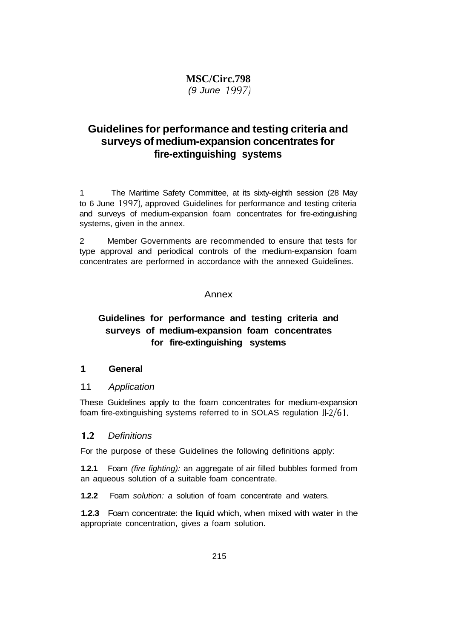# **MSC/Circ.798** (9 June 1997)

# **Guidelines for performance and testing criteria and surveys of medium-expansion concentrates for fire-extinguishing systems**

1 The Maritime Safety Committee, at its sixty-eighth session (28 May to 6 June 1997), approved Guidelines for performance and testing criteria and surveys of medium-expansion foam concentrates for fire-extinguishing systems, given in the annex.

2 Member Governments are recommended to ensure that tests for type approval and periodical controls of the medium-expansion foam concentrates are performed in accordance with the annexed Guidelines.

#### Annex

# **Guidelines for performance and testing criteria and surveys of medium-expansion foam concentrates for fire-extinguishing systems**

#### **1 General**

#### 1.1 Application

These Guidelines apply to the foam concentrates for medium-expansion foam fire-extinguishing systems referred to in SOLAS regulation 11-2/61.

## 1.2 Definitions

For the purpose of these Guidelines the following definitions apply:

**1.2.1** Foam (fire fighting): an aggregate of air filled bubbles formed from an aqueous solution of a suitable foam concentrate.

**1.2.2** Foam solution: a solution of foam concentrate and waters.

**1.2.3** Foam concentrate: the liquid which, when mixed with water in the appropriate concentration, gives a foam solution.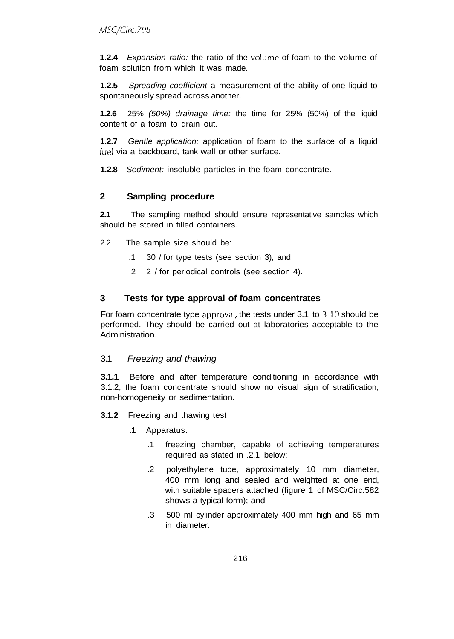**1.2.4** Expansion ratio: the ratio of the volume of foam to the volume of foam solution from which it was made.

**1.2.5** Spreading coefficient a measurement of the ability of one liquid to spontaneously spread across another.

**1.2.6** 25% (50%) drainage time: the time for 25% (50%) of the liquid content of a foam to drain out.

**1.2.7** Gentle application: application of foam to the surface of a liquid fuel via a backboard, tank wall or other surface.

**1.2.8** Sediment: insoluble particles in the foam concentrate.

#### **2 Sampling procedure**

**2.1** The sampling method should ensure representative samples which should be stored in filled containers.

- 2.2 The sample size should be:
	- .1 30 / for type tests (see section 3); and
	- .2 2 / for periodical controls (see section 4).

#### **3 Tests for type approval of foam concentrates**

For foam concentrate type approval, the tests under 3.1 to 3.10 should be performed. They should be carried out at laboratories acceptable to the Administration.

#### 3.1 Freezing and thawing

**3.1.1** Before and after temperature conditioning in accordance with 3.1.2, the foam concentrate should show no visual sign of stratification, non-homogeneity or sedimentation.

- **3.1.2** Freezing and thawing test
	- .1 Apparatus:
		- .1 freezing chamber, capable of achieving temperatures required as stated in .2.1 below;
		- .2 polyethylene tube, approximately 10 mm diameter, 400 mm long and sealed and weighted at one end, with suitable spacers attached (figure 1 of MSC/Circ.582 shows a typical form); and
		- .3 500 ml cylinder approximately 400 mm high and 65 mm in diameter.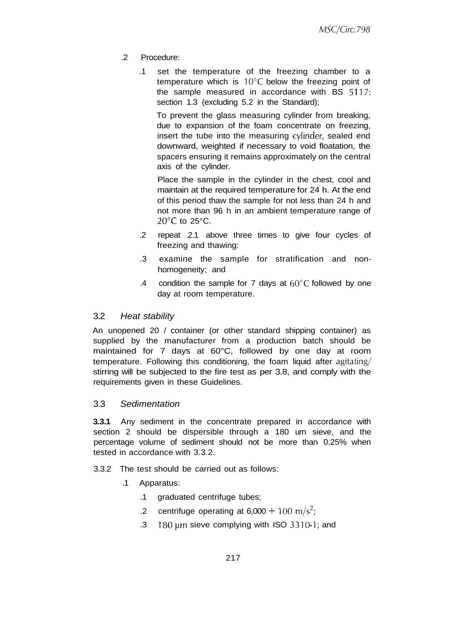- .2 Procedure:
	- .1 set the temperature of the freezing chamber to a temperature which is  $10^{\circ}$ C below the freezing point of the sample measured in accordance with BS 5117: section 1.3 (excluding 5.2 in the Standard);

To prevent the glass measuring cylinder from breaking, due to expansion of the foam concentrate on freezing, insert the tube into the measuring cylinder, sealed end downward, weighted if necessary to void floatation, the spacers ensuring it remains approximately on the central axis of the cylinder.

Place the sample in the cylinder in the chest, cool and maintain at the required temperature for 24 h. At the end of this period thaw the sample for not less than 24 h and not more than 96 h in an ambient temperature range of  $20^{\circ}$ C to 25 $^{\circ}$ C.

- .2 repeat .2.1 above three times to give four cycles of freezing and thawing:
- .3 examine the sample for stratification and nonhomogeneity; and
- .4 condition the sample for 7 days at  $60^{\circ}$ C followed by one day at room temperature.

#### 3.2 Heat stability

An unopened 20 / container (or other standard shipping container) as supplied by the manufacturer from a production batch should be maintained for 7 days at 60°C, followed by one day at room temperature. Following this conditioning, the foam liquid after agitating/ stirring will be subjected to the fire test as per 3.8, and comply with the requirements given in these Guidelines.

## 3.3 Sedimentation

**3.3.1** Any sediment in the concentrate prepared in accordance with section 2 should be dispersible through a 180 urn sieve, and the percentage volume of sediment should not be more than 0.25% when tested in accordance with 3.3.2.

- 3.3.2 The test should be carried out as follows:
	- .1 Apparatus:
		- .1 graduated centrifuge tubes;
		- 2 centrifuge operating at  $6,000 + 100$  m/s<sup>2</sup>;
		- .3  $180 \mu m$  sieve complying with ISO 3310-1; and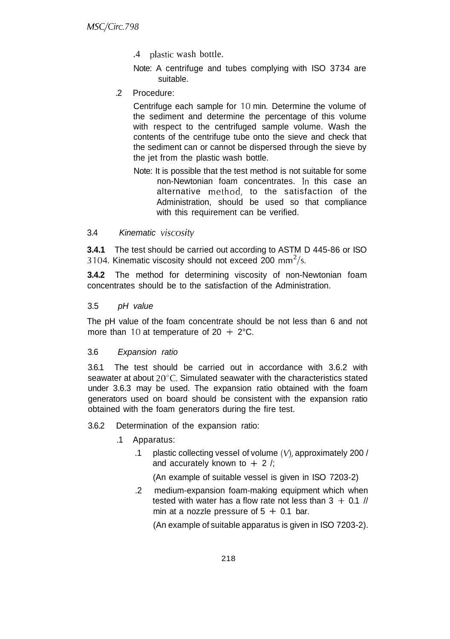.4 plastic wash bottle.

Note: A centrifuge and tubes complying with ISO 3734 are suitable.

.2 Procedure:

Centrifuge each sample for 10 min. Determine the volume of the sediment and determine the percentage of this volume with respect to the centrifuged sample volume. Wash the contents of the centrifuge tube onto the sieve and check that the sediment can or cannot be dispersed through the sieve by the jet from the plastic wash bottle.

Note: It is possible that the test method is not suitable for some non-Newtonian foam concentrates. In this case an alternative method, to the satisfaction of the Administration, should be used so that compliance with this requirement can be verified.

## 3.4 Kinematic viscosity

**3.4.1** The test should be carried out according to ASTM D 445-86 or ISO 3104. Kinematic viscosity should not exceed 200 mm<sup>2</sup>/s.

**3.4.2** The method for determining viscosity of non-Newtonian foam concentrates should be to the satisfaction of the Administration.

## 3.5 pH value

The pH value of the foam concentrate should be not less than 6 and not more than 10 at temperature of  $20 + 2^{\circ}C$ .

## 3.6 Expansion ratio

3.6.1 The test should be carried out in accordance with 3.6.2 with seawater at about 20°C. Simulated seawater with the characteristics stated under 3.6.3 may be used. The expansion ratio obtained with the foam generators used on board should be consistent with the expansion ratio obtained with the foam generators during the fire test.

- 3.6.2 Determination of the expansion ratio:
	- .1 Apparatus:
		- .1 plastic collecting vessel of volume (V), approximately 200 / and accurately known to  $+ 2$  /;

(An example of suitable vessel is given in ISO 7203-2)

.2 medium-expansion foam-making equipment which when tested with water has a flow rate not less than  $3 + 0.1$  // min at a nozzle pressure of  $5 + 0.1$  bar.

(An example of suitable apparatus is given in ISO 7203-2).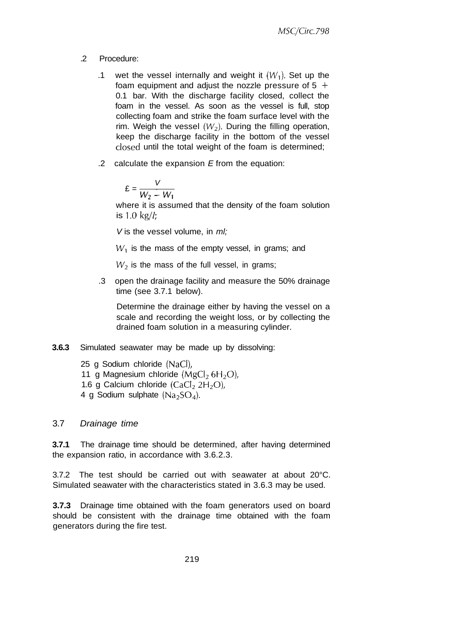- .2 Procedure:
	- .1 wet the vessel internally and weight it  $(W_1)$ . Set up the foam equipment and adjust the nozzle pressure of  $5 +$ 0.1 bar. With the discharge facility closed, collect the foam in the vessel. As soon as the vessel is full, stop collecting foam and strike the foam surface level with the rim. Weigh the vessel  $(W_2)$ . During the filling operation, keep the discharge facility in the bottom of the vessel closed until the total weight of the foam is determined;
	- .2 calculate the expansion  $E$  from the equation:

$$
\mathbf{E} = \frac{V}{W_2 - W_1}
$$

where it is assumed that the density of the foam solution is 1.0 kg/ $l$ ;

V is the vessel volume, in  $ml$ ;

 $W_1$  is the mass of the empty vessel, in grams; and

 $W_2$  is the mass of the full vessel, in grams;

.3 open the drainage facility and measure the 50% drainage time (see 3.7.1 below).

Determine the drainage either by having the vessel on a scale and recording the weight loss, or by collecting the drained foam solution in a measuring cylinder.

- **3.6.3** Simulated seawater may be made up by dissolving:
	- 25 g Sodium chloride (NaCI), 11 g Magnesium chloride  $(MgCl<sub>2</sub> 6H<sub>2</sub>O)$ , 1.6 g Calcium chloride  $(CaCl<sub>2</sub> 2H<sub>2</sub>O)$ , 4 g Sodium sulphate  $(Na_2SO_4)$ .

#### 3.7 Drainage time

**3.7.1** The drainage time should be determined, after having determined the expansion ratio, in accordance with 3.6.2.3.

3.7.2 The test should be carried out with seawater at about 20°C. Simulated seawater with the characteristics stated in 3.6.3 may be used.

**3.7.3** Drainage time obtained with the foam generators used on board should be consistent with the drainage time obtained with the foam generators during the fire test.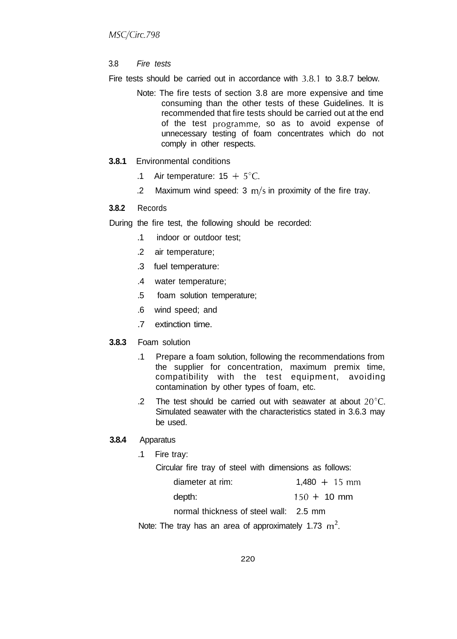#### 3.8 Fire tests

Fire tests should be carried out in accordance with 3.8.1 to 3.8.7 below.

- Note: The fire tests of section 3.8 are more expensive and time consuming than the other tests of these Guidelines. It is recommended that fire tests should be carried out at the end of the test programme, so as to avoid expense of unnecessary testing of foam concentrates which do not comply in other respects.
- **3.8.1** Environmental conditions
	- .1 Air temperature:  $15 + 5^{\circ}$ C.
	- .2 Maximum wind speed:  $3 \text{ m/s}$  in proximity of the fire tray.

#### **3.8.2** Records

- During the fire test, the following should be recorded:
	- .1 indoor or outdoor test;
	- .2 air temperature;
	- .3 fuel temperature:
	- .4 water temperature;
	- .5 foam solution temperature;
	- .6 wind speed; and
	- .7 extinction time.

#### **3.8.3** Foam solution

- .1 Prepare a foam solution, following the recommendations from the supplier for concentration, maximum premix time, compatibility with the test equipment, avoiding contamination by other types of foam, etc.
- .2 The test should be carried out with seawater at about 20°C. Simulated seawater with the characteristics stated in 3.6.3 may be used.

#### **3.8.4** Apparatus

.1 Fire tray:

Circular fire tray of steel with dimensions as follows:

| diameter at rim: | $1,480 + 15$ mm |  |
|------------------|-----------------|--|
|                  |                 |  |

| depth: | $150 + 10$ mm |
|--------|---------------|
|        |               |

normal thickness of steel wall: 2.5 mm

Note: The tray has an area of approximately 1.73  $m^2$ .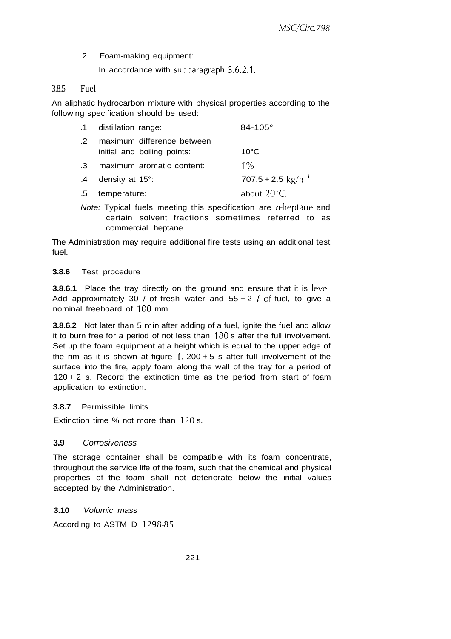.2 Foam-making equipment:

In accordance with subparagraph 3.6.2.1.

#### 3.8.5 Fuel

An aliphatic hydrocarbon mixture with physical properties according to the following specification should be used:

|           | .1 distillation range:                                    | $84 - 105^{\circ}$          |
|-----------|-----------------------------------------------------------|-----------------------------|
| $\cdot$ 2 | maximum difference between<br>initial and boiling points: | $10^{\circ}$ C              |
| $\cdot$ 3 | maximum aromatic content:                                 | $1\%$                       |
| .4        | density at 15°:                                           | 707.5 + 2.5 $\text{kg/m}^3$ |
| .5        | temperature:                                              | about $20^{\circ}$ C.       |

Note: Typical fuels meeting this specification are  $n$ -heptane and certain solvent fractions sometimes referred to as commercial heptane.

The Administration may require additional fire tests using an additional test fuel.

#### **3.8.6** Test procedure

**3.8.6.1** Place the tray directly on the ground and ensure that it is level. Add approximately 30 / of fresh water and  $55 + 2$  / of fuel, to give a nominal freeboard of 100 mm.

**3.8.6.2** Not later than 5 min after adding of a fuel, ignite the fuel and allow it to burn free for a period of not less than 180 s after the full involvement. Set up the foam equipment at a height which is equal to the upper edge of the rim as it is shown at figure  $1.200 + 5$  s after full involvement of the surface into the fire, apply foam along the wall of the tray for a period of  $120 + 2$  s. Record the extinction time as the period from start of foam application to extinction.

#### **3.8.7** Permissible limits

Extinction time % not more than 120 s.

#### **3.9** Corrosiveness

The storage container shall be compatible with its foam concentrate, throughout the service life of the foam, such that the chemical and physical properties of the foam shall not deteriorate below the initial values accepted by the Administration.

#### **3.10** Volumic mass

According to ASTM D 1298-85.